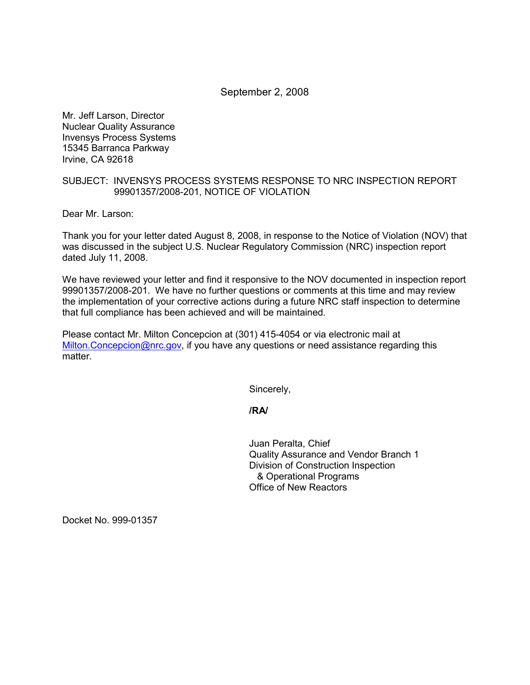# September 2, 2008

Mr. Jeff Larson, Director Nuclear Quality Assurance Invensys Process Systems 15345 Barranca Parkway Irvine, CA 92618

# SUBJECT: INVENSYS PROCESS SYSTEMS RESPONSE TO NRC INSPECTION REPORT 99901357/2008-201, NOTICE OF VIOLATION

Dear Mr. Larson:

Thank you for your letter dated August 8, 2008, in response to the Notice of Violation (NOV) that was discussed in the subject U.S. Nuclear Regulatory Commission (NRC) inspection report dated July 11, 2008.

We have reviewed your letter and find it responsive to the NOV documented in inspection report 99901357/2008-201. We have no further questions or comments at this time and may review the implementation of your corrective actions during a future NRC staff inspection to determine that full compliance has been achieved and will be maintained.

Please contact Mr. Milton Concepcion at (301) 415-4054 or via electronic mail at Milton.Concepcion@nrc.gov, if you have any questions or need assistance regarding this matter.

Sincerely,

#### **/RA/**

Juan Peralta, Chief Quality Assurance and Vendor Branch 1 Division of Construction Inspection & Operational Programs Office of New Reactors

Docket No. 999-01357